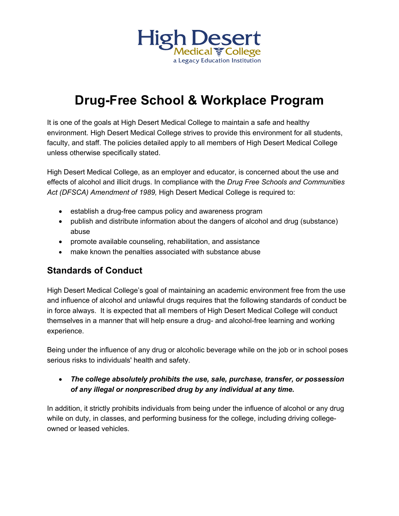

# **Drug-Free School & Workplace Program**

It is one of the goals at High Desert Medical College to maintain a safe and healthy environment. High Desert Medical College strives to provide this environment for all students, faculty, and staff. The policies detailed apply to all members of High Desert Medical College unless otherwise specifically stated.

High Desert Medical College, as an employer and educator, is concerned about the use and effects of alcohol and illicit drugs. In compliance with the *Drug Free Schools and Communities Act (DFSCA) Amendment of 1989,* High Desert Medical College is required to:

- establish a drug-free campus policy and awareness program
- publish and distribute information about the dangers of alcohol and drug (substance) abuse
- promote available counseling, rehabilitation, and assistance
- make known the penalties associated with substance abuse

## **Standards of Conduct**

High Desert Medical College's goal of maintaining an academic environment free from the use and influence of alcohol and unlawful drugs requires that the following standards of conduct be in force always. It is expected that all members of High Desert Medical College will conduct themselves in a manner that will help ensure a drug- and alcohol-free learning and working experience.

Being under the influence of any drug or alcoholic beverage while on the job or in school poses serious risks to individuals' health and safety.

### • *The college absolutely prohibits the use, sale, purchase, transfer, or possession of any illegal or nonprescribed drug by any individual at any time.*

In addition, it strictly prohibits individuals from being under the influence of alcohol or any drug while on duty, in classes, and performing business for the college, including driving collegeowned or leased vehicles.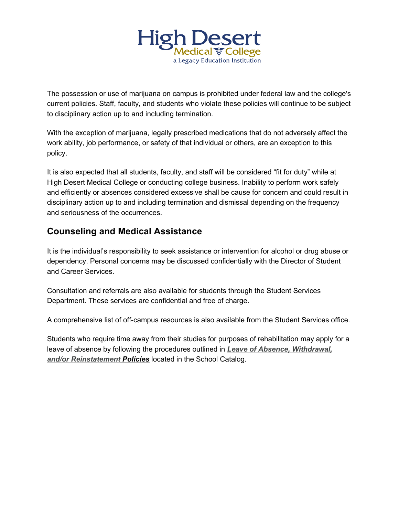

The possession or use of marijuana on campus is prohibited under federal law and the college's current policies. Staff, faculty, and students who violate these policies will continue to be subject to disciplinary action up to and including termination.

With the exception of marijuana, legally prescribed medications that do not adversely affect the work ability, job performance, or safety of that individual or others, are an exception to this policy.

It is also expected that all students, faculty, and staff will be considered "fit for duty" while at High Desert Medical College or conducting college business. Inability to perform work safely and efficiently or absences considered excessive shall be cause for concern and could result in disciplinary action up to and including termination and dismissal depending on the frequency and seriousness of the occurrences.

## **Counseling and Medical Assistance**

It is the individual's responsibility to seek assistance or intervention for alcohol or drug abuse or dependency. Personal concerns may be discussed confidentially with the Director of Student and Career Services.

Consultation and referrals are also available for students through the Student Services Department. These services are confidential and free of charge.

A comprehensive list of off-campus resources is also available from the Student Services office.

Students who require time away from their studies for purposes of rehabilitation may apply for a leave of absence by following the procedures outlined in *Leave of Absence, Withdrawal, and/or Reinstatement Policies* located in the School Catalog.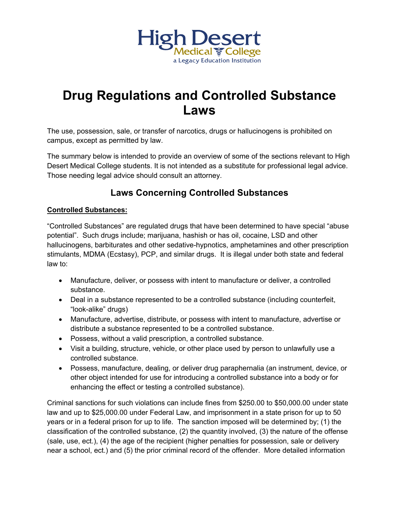

# **Drug Regulations and Controlled Substance Laws**

The use, possession, sale, or transfer of narcotics, drugs or hallucinogens is prohibited on campus, except as permitted by law.

The summary below is intended to provide an overview of some of the sections relevant to High Desert Medical College students. It is not intended as a substitute for professional legal advice. Those needing legal advice should consult an attorney.

## **Laws Concerning Controlled Substances**

### **Controlled Substances:**

"Controlled Substances" are regulated drugs that have been determined to have special "abuse potential". Such drugs include; marijuana, hashish or has oil, cocaine, LSD and other hallucinogens, barbiturates and other sedative-hypnotics, amphetamines and other prescription stimulants, MDMA (Ecstasy), PCP, and similar drugs. It is illegal under both state and federal law to:

- Manufacture, deliver, or possess with intent to manufacture or deliver, a controlled substance.
- Deal in a substance represented to be a controlled substance (including counterfeit, "look-alike" drugs)
- Manufacture, advertise, distribute, or possess with intent to manufacture, advertise or distribute a substance represented to be a controlled substance.
- Possess, without a valid prescription, a controlled substance.
- Visit a building, structure, vehicle, or other place used by person to unlawfully use a controlled substance.
- Possess, manufacture, dealing, or deliver drug paraphernalia (an instrument, device, or other object intended for use for introducing a controlled substance into a body or for enhancing the effect or testing a controlled substance).

Criminal sanctions for such violations can include fines from \$250.00 to \$50,000.00 under state law and up to \$25,000.00 under Federal Law, and imprisonment in a state prison for up to 50 years or in a federal prison for up to life. The sanction imposed will be determined by; (1) the classification of the controlled substance, (2) the quantity involved, (3) the nature of the offense (sale, use, ect.), (4) the age of the recipient (higher penalties for possession, sale or delivery near a school, ect.) and (5) the prior criminal record of the offender. More detailed information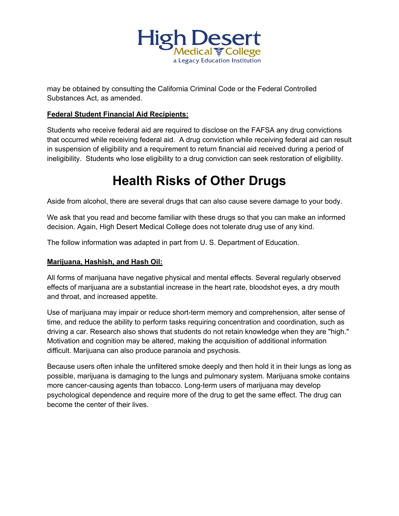

may be obtained by consulting the California Criminal Code or the Federal Controlled Substances Act, as amended.

### **Federal Student Financial Aid Recipients:**

Students who receive federal aid are required to disclose on the FAFSA any drug convictions that occurred while receiving federal aid. A drug conviction while receiving federal aid can result in suspension of eligibility and a requirement to return financial aid received during a period of ineligibility. Students who lose eligibility to a drug conviction can seek restoration of eligibility.

# **Health Risks of Other Drugs**

Aside from alcohol, there are several drugs that can also cause severe damage to your body.

We ask that you read and become familiar with these drugs so that you can make an informed decision. Again, High Desert Medical College does not tolerate drug use of any kind.

The follow information was adapted in part from U. S. Department of Education.

#### **Marijuana, Hashish, and Hash Oil:**

All forms of marijuana have negative physical and mental effects. Several regularly observed effects of marijuana are a substantial increase in the heart rate, bloodshot eyes, a dry mouth and throat, and increased appetite.

Use of marijuana may impair or reduce short-term memory and comprehension, alter sense of time, and reduce the ability to perform tasks requiring concentration and coordination, such as driving a car. Research also shows that students do not retain knowledge when they are "high." Motivation and cognition may be altered, making the acquisition of additional information difficult. Marijuana can also produce paranoia and psychosis.

Because users often inhale the unfiltered smoke deeply and then hold it in their lungs as long as possible, marijuana is damaging to the lungs and pulmonary system. Marijuana smoke contains more cancer-causing agents than tobacco. Long-term users of marijuana may develop psychological dependence and require more of the drug to get the same effect. The drug can become the center of their lives.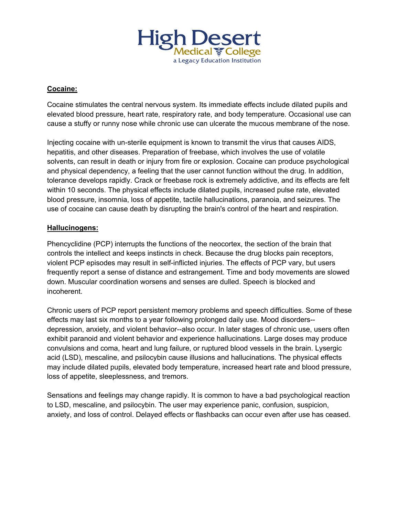

### **Cocaine:**

Cocaine stimulates the central nervous system. Its immediate effects include dilated pupils and elevated blood pressure, heart rate, respiratory rate, and body temperature. Occasional use can cause a stuffy or runny nose while chronic use can ulcerate the mucous membrane of the nose.

Injecting cocaine with un-sterile equipment is known to transmit the virus that causes AIDS, hepatitis, and other diseases. Preparation of freebase, which involves the use of volatile solvents, can result in death or injury from fire or explosion. Cocaine can produce psychological and physical dependency, a feeling that the user cannot function without the drug. In addition, tolerance develops rapidly. Crack or freebase rock is extremely addictive, and its effects are felt within 10 seconds. The physical effects include dilated pupils, increased pulse rate, elevated blood pressure, insomnia, loss of appetite, tactile hallucinations, paranoia, and seizures. The use of cocaine can cause death by disrupting the brain's control of the heart and respiration.

### **Hallucinogens:**

Phencyclidine (PCP) interrupts the functions of the neocortex, the section of the brain that controls the intellect and keeps instincts in check. Because the drug blocks pain receptors, violent PCP episodes may result in self-inflicted injuries. The effects of PCP vary, but users frequently report a sense of distance and estrangement. Time and body movements are slowed down. Muscular coordination worsens and senses are dulled. Speech is blocked and incoherent.

Chronic users of PCP report persistent memory problems and speech difficulties. Some of these effects may last six months to a year following prolonged daily use. Mood disorders- depression, anxiety, and violent behavior--also occur. In later stages of chronic use, users often exhibit paranoid and violent behavior and experience hallucinations. Large doses may produce convulsions and coma, heart and lung failure, or ruptured blood vessels in the brain. Lysergic acid (LSD), mescaline, and psilocybin cause illusions and hallucinations. The physical effects may include dilated pupils, elevated body temperature, increased heart rate and blood pressure, loss of appetite, sleeplessness, and tremors.

Sensations and feelings may change rapidly. It is common to have a bad psychological reaction to LSD, mescaline, and psilocybin. The user may experience panic, confusion, suspicion, anxiety, and loss of control. Delayed effects or flashbacks can occur even after use has ceased.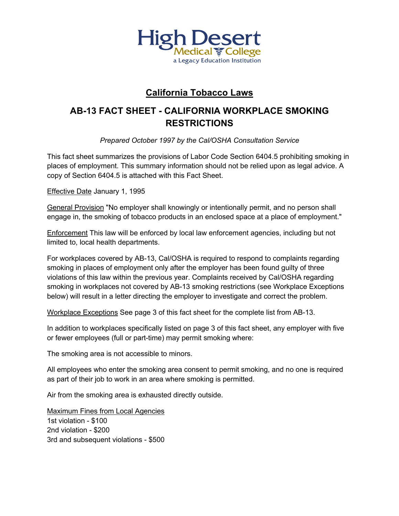

## **California Tobacco Laws**

## **AB-13 FACT SHEET - CALIFORNIA WORKPLACE SMOKING RESTRICTIONS**

*Prepared October 1997 by the Cal/OSHA Consultation Service*

This fact sheet summarizes the provisions of Labor Code Section 6404.5 prohibiting smoking in places of employment. This summary information should not be relied upon as legal advice. A copy of Section 6404.5 is attached with this Fact Sheet.

Effective Date January 1, 1995

General Provision "No employer shall knowingly or intentionally permit, and no person shall engage in, the smoking of tobacco products in an enclosed space at a place of employment."

Enforcement This law will be enforced by local law enforcement agencies, including but not limited to, local health departments.

For workplaces covered by AB-13, Cal/OSHA is required to respond to complaints regarding smoking in places of employment only after the employer has been found guilty of three violations of this law within the previous year. Complaints received by Cal/OSHA regarding smoking in workplaces not covered by AB-13 smoking restrictions (see Workplace Exceptions below) will result in a letter directing the employer to investigate and correct the problem.

Workplace Exceptions See page 3 of this fact sheet for the complete list from AB-13.

In addition to workplaces specifically listed on page 3 of this fact sheet, any employer with five or fewer employees (full or part-time) may permit smoking where:

The smoking area is not accessible to minors.

All employees who enter the smoking area consent to permit smoking, and no one is required as part of their job to work in an area where smoking is permitted.

Air from the smoking area is exhausted directly outside.

Maximum Fines from Local Agencies 1st violation - \$100 2nd violation - \$200 3rd and subsequent violations - \$500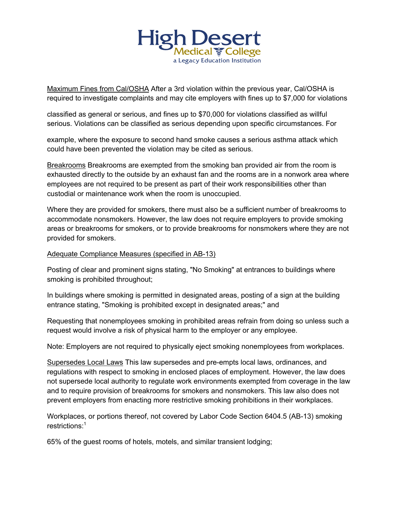

Maximum Fines from Cal/OSHA After a 3rd violation within the previous year, Cal/OSHA is required to investigate complaints and may cite employers with fines up to \$7,000 for violations

classified as general or serious, and fines up to \$70,000 for violations classified as willful serious. Violations can be classified as serious depending upon specific circumstances. For

example, where the exposure to second hand smoke causes a serious asthma attack which could have been prevented the violation may be cited as serious.

Breakrooms Breakrooms are exempted from the smoking ban provided air from the room is exhausted directly to the outside by an exhaust fan and the rooms are in a nonwork area where employees are not required to be present as part of their work responsibilities other than custodial or maintenance work when the room is unoccupied.

Where they are provided for smokers, there must also be a sufficient number of breakrooms to accommodate nonsmokers. However, the law does not require employers to provide smoking areas or breakrooms for smokers, or to provide breakrooms for nonsmokers where they are not provided for smokers.

#### Adequate Compliance Measures (specified in AB-13)

Posting of clear and prominent signs stating, "No Smoking" at entrances to buildings where smoking is prohibited throughout;

In buildings where smoking is permitted in designated areas, posting of a sign at the building entrance stating, "Smoking is prohibited except in designated areas;" and

Requesting that nonemployees smoking in prohibited areas refrain from doing so unless such a request would involve a risk of physical harm to the employer or any employee.

Note: Employers are not required to physically eject smoking nonemployees from workplaces.

Supersedes Local Laws This law supersedes and pre-empts local laws, ordinances, and regulations with respect to smoking in enclosed places of employment. However, the law does not supersede local authority to regulate work environments exempted from coverage in the law and to require provision of breakrooms for smokers and nonsmokers. This law also does not prevent employers from enacting more restrictive smoking prohibitions in their workplaces.

Workplaces, or portions thereof, not covered by Labor Code Section 6404.5 (AB-13) smoking restrictions:<sup>1</sup>

65% of the guest rooms of hotels, motels, and similar transient lodging;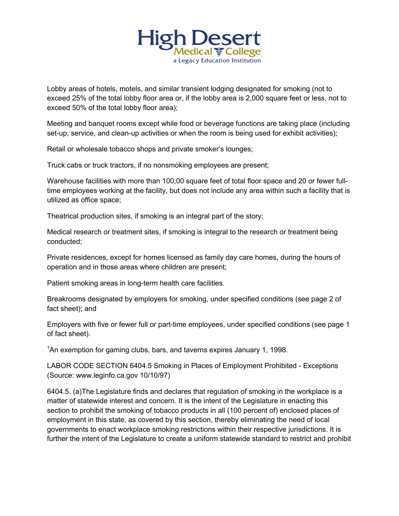

Lobby areas of hotels, motels, and similar transient lodging designated for smoking (not to exceed 25% of the total lobby floor area or, if the lobby area is 2,000 square feet or less, not to exceed 50% of the total lobby floor area);

Meeting and banquet rooms except while food or beverage functions are taking place (including set-up, service, and clean-up activities or when the room is being used for exhibit activities);

Retail or wholesale tobacco shops and private smoker's lounges;

Truck cabs or truck tractors, if no nonsmoking employees are present;

Warehouse facilities with more than 100,00 square feet of total floor space and 20 or fewer fulltime employees working at the facility, but does not include any area within such a facility that is utilized as office space;

Theatrical production sites, if smoking is an integral part of the story;

Medical research or treatment sites, if smoking is integral to the research or treatment being conducted;

Private residences, except for homes licensed as family day care homes, during the hours of operation and in those areas where children are present;

Patient smoking areas in long-term health care facilities.

Breakrooms designated by employers for smoking, under specified conditions (see page 2 of fact sheet); and

Employers with five or fewer full or part-time employees, under specified conditions (see page 1 of fact sheet).

<sup>1</sup>An exemption for gaming clubs, bars, and taverns expires January 1, 1998.

LABOR CODE SECTION 6404.5 Smoking in Places of Employment Prohibited - Exceptions (Source: www.leginfo.ca.gov 10/10/97)

6404.5. (a)The Legislature finds and declares that regulation of smoking in the workplace is a matter of statewide interest and concern. It is the intent of the Legislature in enacting this section to prohibit the smoking of tobacco products in all (100 percent of) enclosed places of employment in this state, as covered by this section, thereby eliminating the need of local governments to enact workplace smoking restrictions within their respective jurisdictions. It is further the intent of the Legislature to create a uniform statewide standard to restrict and prohibit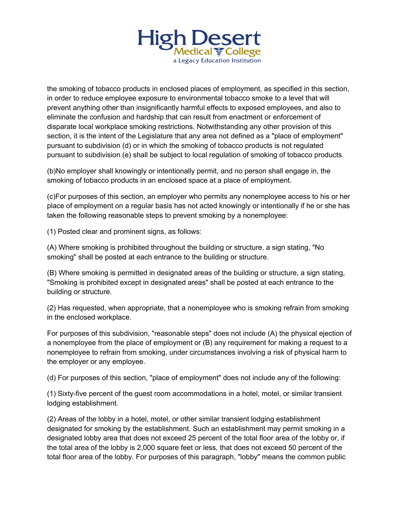

the smoking of tobacco products in enclosed places of employment, as specified in this section, in order to reduce employee exposure to environmental tobacco smoke to a level that will prevent anything other than insignificantly harmful effects to exposed employees, and also to eliminate the confusion and hardship that can result from enactment or enforcement of disparate local workplace smoking restrictions. Notwithstanding any other provision of this section, it is the intent of the Legislature that any area not defined as a "place of employment" pursuant to subdivision (d) or in which the smoking of tobacco products is not regulated pursuant to subdivision (e) shall be subject to local regulation of smoking of tobacco products.

(b)No employer shall knowingly or intentionally permit, and no person shall engage in, the smoking of tobacco products in an enclosed space at a place of employment.

(c)For purposes of this section, an employer who permits any nonemployee access to his or her place of employment on a regular basis has not acted knowingly or intentionally if he or she has taken the following reasonable steps to prevent smoking by a nonemployee:

(1) Posted clear and prominent signs, as follows:

(A) Where smoking is prohibited throughout the building or structure, a sign stating, "No smoking" shall be posted at each entrance to the building or structure.

(B) Where smoking is permitted in designated areas of the building or structure, a sign stating, "Smoking is prohibited except in designated areas" shall be posted at each entrance to the building or structure.

(2) Has requested, when appropriate, that a nonemployee who is smoking refrain from smoking in the enclosed workplace.

For purposes of this subdivision, "reasonable steps" does not include (A) the physical ejection of a nonemployee from the place of employment or (B) any requirement for making a request to a nonemployee to refrain from smoking, under circumstances involving a risk of physical harm to the employer or any employee.

(d) For purposes of this section, "place of employment" does not include any of the following:

(1) Sixty-five percent of the guest room accommodations in a hotel, motel, or similar transient lodging establishment.

(2) Areas of the lobby in a hotel, motel, or other similar transient lodging establishment designated for smoking by the establishment. Such an establishment may permit smoking in a designated lobby area that does not exceed 25 percent of the total floor area of the lobby or, if the total area of the lobby is 2,000 square feet or less, that does not exceed 50 percent of the total floor area of the lobby. For purposes of this paragraph, "lobby" means the common public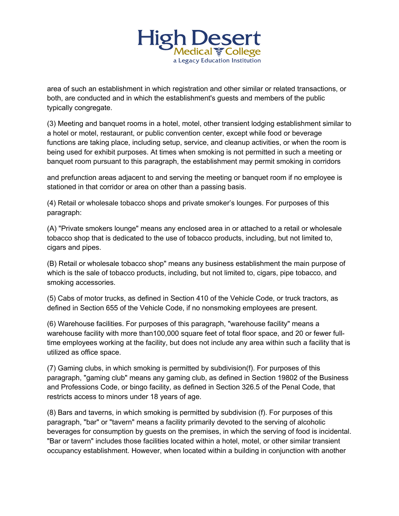

area of such an establishment in which registration and other similar or related transactions, or both, are conducted and in which the establishment's guests and members of the public typically congregate.

(3) Meeting and banquet rooms in a hotel, motel, other transient lodging establishment similar to a hotel or motel, restaurant, or public convention center, except while food or beverage functions are taking place, including setup, service, and cleanup activities, or when the room is being used for exhibit purposes. At times when smoking is not permitted in such a meeting or banquet room pursuant to this paragraph, the establishment may permit smoking in corridors

and prefunction areas adjacent to and serving the meeting or banquet room if no employee is stationed in that corridor or area on other than a passing basis.

(4) Retail or wholesale tobacco shops and private smoker's lounges. For purposes of this paragraph:

(A) "Private smokers lounge" means any enclosed area in or attached to a retail or wholesale tobacco shop that is dedicated to the use of tobacco products, including, but not limited to, cigars and pipes.

(B) Retail or wholesale tobacco shop" means any business establishment the main purpose of which is the sale of tobacco products, including, but not limited to, cigars, pipe tobacco, and smoking accessories.

(5) Cabs of motor trucks, as defined in Section 410 of the Vehicle Code, or truck tractors, as defined in Section 655 of the Vehicle Code, if no nonsmoking employees are present.

(6) Warehouse facilities. For purposes of this paragraph, "warehouse facility" means a warehouse facility with more than100,000 square feet of total floor space, and 20 or fewer fulltime employees working at the facility, but does not include any area within such a facility that is utilized as office space.

(7) Gaming clubs, in which smoking is permitted by subdivision(f). For purposes of this paragraph, "gaming club" means any gaming club, as defined in Section 19802 of the Business and Professions Code, or bingo facility, as defined in Section 326.5 of the Penal Code, that restricts access to minors under 18 years of age.

(8) Bars and taverns, in which smoking is permitted by subdivision (f). For purposes of this paragraph, "bar" or "tavern" means a facility primarily devoted to the serving of alcoholic beverages for consumption by guests on the premises, in which the serving of food is incidental. "Bar or tavern" includes those facilities located within a hotel, motel, or other similar transient occupancy establishment. However, when located within a building in conjunction with another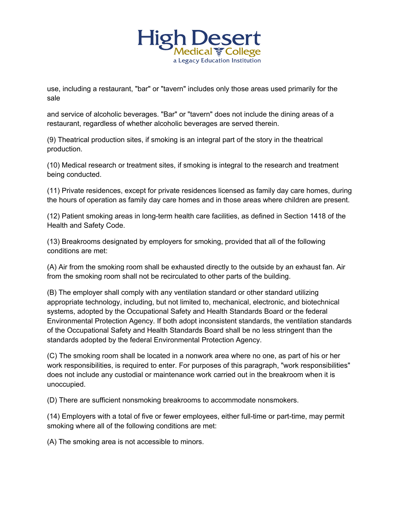

use, including a restaurant, "bar" or "tavern" includes only those areas used primarily for the sale

and service of alcoholic beverages. "Bar" or "tavern" does not include the dining areas of a restaurant, regardless of whether alcoholic beverages are served therein.

(9) Theatrical production sites, if smoking is an integral part of the story in the theatrical production.

(10) Medical research or treatment sites, if smoking is integral to the research and treatment being conducted.

(11) Private residences, except for private residences licensed as family day care homes, during the hours of operation as family day care homes and in those areas where children are present.

(12) Patient smoking areas in long-term health care facilities, as defined in Section 1418 of the Health and Safety Code.

(13) Breakrooms designated by employers for smoking, provided that all of the following conditions are met:

(A) Air from the smoking room shall be exhausted directly to the outside by an exhaust fan. Air from the smoking room shall not be recirculated to other parts of the building.

(B) The employer shall comply with any ventilation standard or other standard utilizing appropriate technology, including, but not limited to, mechanical, electronic, and biotechnical systems, adopted by the Occupational Safety and Health Standards Board or the federal Environmental Protection Agency. If both adopt inconsistent standards, the ventilation standards of the Occupational Safety and Health Standards Board shall be no less stringent than the standards adopted by the federal Environmental Protection Agency.

(C) The smoking room shall be located in a nonwork area where no one, as part of his or her work responsibilities, is required to enter. For purposes of this paragraph, "work responsibilities" does not include any custodial or maintenance work carried out in the breakroom when it is unoccupied.

(D) There are sufficient nonsmoking breakrooms to accommodate nonsmokers.

(14) Employers with a total of five or fewer employees, either full-time or part-time, may permit smoking where all of the following conditions are met:

(A) The smoking area is not accessible to minors.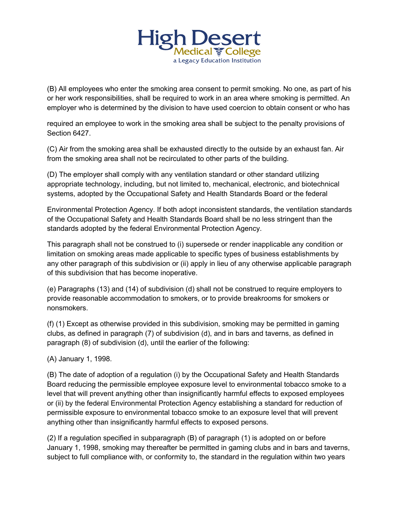

(B) All employees who enter the smoking area consent to permit smoking. No one, as part of his or her work responsibilities, shall be required to work in an area where smoking is permitted. An employer who is determined by the division to have used coercion to obtain consent or who has

required an employee to work in the smoking area shall be subject to the penalty provisions of Section 6427.

(C) Air from the smoking area shall be exhausted directly to the outside by an exhaust fan. Air from the smoking area shall not be recirculated to other parts of the building.

(D) The employer shall comply with any ventilation standard or other standard utilizing appropriate technology, including, but not limited to, mechanical, electronic, and biotechnical systems, adopted by the Occupational Safety and Health Standards Board or the federal

Environmental Protection Agency. If both adopt inconsistent standards, the ventilation standards of the Occupational Safety and Health Standards Board shall be no less stringent than the standards adopted by the federal Environmental Protection Agency.

This paragraph shall not be construed to (i) supersede or render inapplicable any condition or limitation on smoking areas made applicable to specific types of business establishments by any other paragraph of this subdivision or (ii) apply in lieu of any otherwise applicable paragraph of this subdivision that has become inoperative.

(e) Paragraphs (13) and (14) of subdivision (d) shall not be construed to require employers to provide reasonable accommodation to smokers, or to provide breakrooms for smokers or nonsmokers.

(f) (1) Except as otherwise provided in this subdivision, smoking may be permitted in gaming clubs, as defined in paragraph (7) of subdivision (d), and in bars and taverns, as defined in paragraph (8) of subdivision (d), until the earlier of the following:

(A) January 1, 1998.

(B) The date of adoption of a regulation (i) by the Occupational Safety and Health Standards Board reducing the permissible employee exposure level to environmental tobacco smoke to a level that will prevent anything other than insignificantly harmful effects to exposed employees or (ii) by the federal Environmental Protection Agency establishing a standard for reduction of permissible exposure to environmental tobacco smoke to an exposure level that will prevent anything other than insignificantly harmful effects to exposed persons.

(2) If a regulation specified in subparagraph (B) of paragraph (1) is adopted on or before January 1, 1998, smoking may thereafter be permitted in gaming clubs and in bars and taverns, subject to full compliance with, or conformity to, the standard in the regulation within two years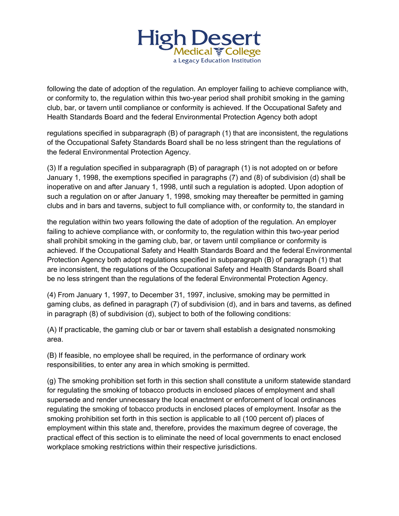

following the date of adoption of the regulation. An employer failing to achieve compliance with, or conformity to, the regulation within this two-year period shall prohibit smoking in the gaming club, bar, or tavern until compliance or conformity is achieved. If the Occupational Safety and Health Standards Board and the federal Environmental Protection Agency both adopt

regulations specified in subparagraph (B) of paragraph (1) that are inconsistent, the regulations of the Occupational Safety Standards Board shall be no less stringent than the regulations of the federal Environmental Protection Agency.

(3) If a regulation specified in subparagraph (B) of paragraph (1) is not adopted on or before January 1, 1998, the exemptions specified in paragraphs (7) and (8) of subdivision (d) shall be inoperative on and after January 1, 1998, until such a regulation is adopted. Upon adoption of such a regulation on or after January 1, 1998, smoking may thereafter be permitted in gaming clubs and in bars and taverns, subject to full compliance with, or conformity to, the standard in

the regulation within two years following the date of adoption of the regulation. An employer failing to achieve compliance with, or conformity to, the regulation within this two-year period shall prohibit smoking in the gaming club, bar, or tavern until compliance or conformity is achieved. If the Occupational Safety and Health Standards Board and the federal Environmental Protection Agency both adopt regulations specified in subparagraph (B) of paragraph (1) that are inconsistent, the regulations of the Occupational Safety and Health Standards Board shall be no less stringent than the regulations of the federal Environmental Protection Agency.

(4) From January 1, 1997, to December 31, 1997, inclusive, smoking may be permitted in gaming clubs, as defined in paragraph (7) of subdivision (d), and in bars and taverns, as defined in paragraph (8) of subdivision (d), subject to both of the following conditions:

(A) If practicable, the gaming club or bar or tavern shall establish a designated nonsmoking area.

(B) If feasible, no employee shall be required, in the performance of ordinary work responsibilities, to enter any area in which smoking is permitted.

(g) The smoking prohibition set forth in this section shall constitute a uniform statewide standard for regulating the smoking of tobacco products in enclosed places of employment and shall supersede and render unnecessary the local enactment or enforcement of local ordinances regulating the smoking of tobacco products in enclosed places of employment. Insofar as the smoking prohibition set forth in this section is applicable to all (100 percent of) places of employment within this state and, therefore, provides the maximum degree of coverage, the practical effect of this section is to eliminate the need of local governments to enact enclosed workplace smoking restrictions within their respective jurisdictions.